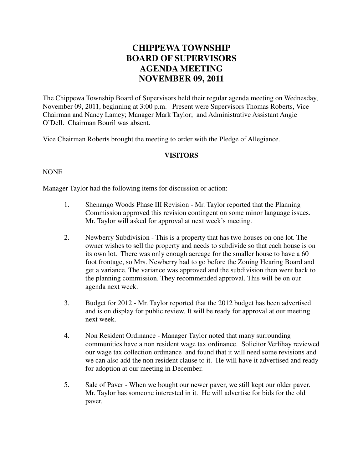## **CHIPPEWA TOWNSHIP BOARD OF SUPERVISORS AGENDA MEETING NOVEMBER 09, 2011**

The Chippewa Township Board of Supervisors held their regular agenda meeting on Wednesday, November 09, 2011, beginning at 3:00 p.m. Present were Supervisors Thomas Roberts, Vice Chairman and Nancy Lamey; Manager Mark Taylor; and Administrative Assistant Angie O'Dell. Chairman Bouril was absent.

Vice Chairman Roberts brought the meeting to order with the Pledge of Allegiance.

## **VISITORS**

## NONE

Manager Taylor had the following items for discussion or action:

- 1. Shenango Woods Phase III Revision Mr. Taylor reported that the Planning Commission approved this revision contingent on some minor language issues. Mr. Taylor will asked for approval at next week's meeting.
- 2. Newberry Subdivision This is a property that has two houses on one lot. The owner wishes to sell the property and needs to subdivide so that each house is on its own lot. There was only enough acreage for the smaller house to have a 60 foot frontage, so Mrs. Newberry had to go before the Zoning Hearing Board and get a variance. The variance was approved and the subdivision then went back to the planning commission. They recommended approval. This will be on our agenda next week.
- 3. Budget for 2012 Mr. Taylor reported that the 2012 budget has been advertised and is on display for public review. It will be ready for approval at our meeting next week.
- 4. Non Resident Ordinance Manager Taylor noted that many surrounding communities have a non resident wage tax ordinance. Solicitor Verlihay reviewed our wage tax collection ordinance and found that it will need some revisions and we can also add the non resident clause to it. He will have it advertised and ready for adoption at our meeting in December.
- 5. Sale of Paver When we bought our newer paver, we still kept our older paver. Mr. Taylor has someone interested in it. He will advertise for bids for the old paver.